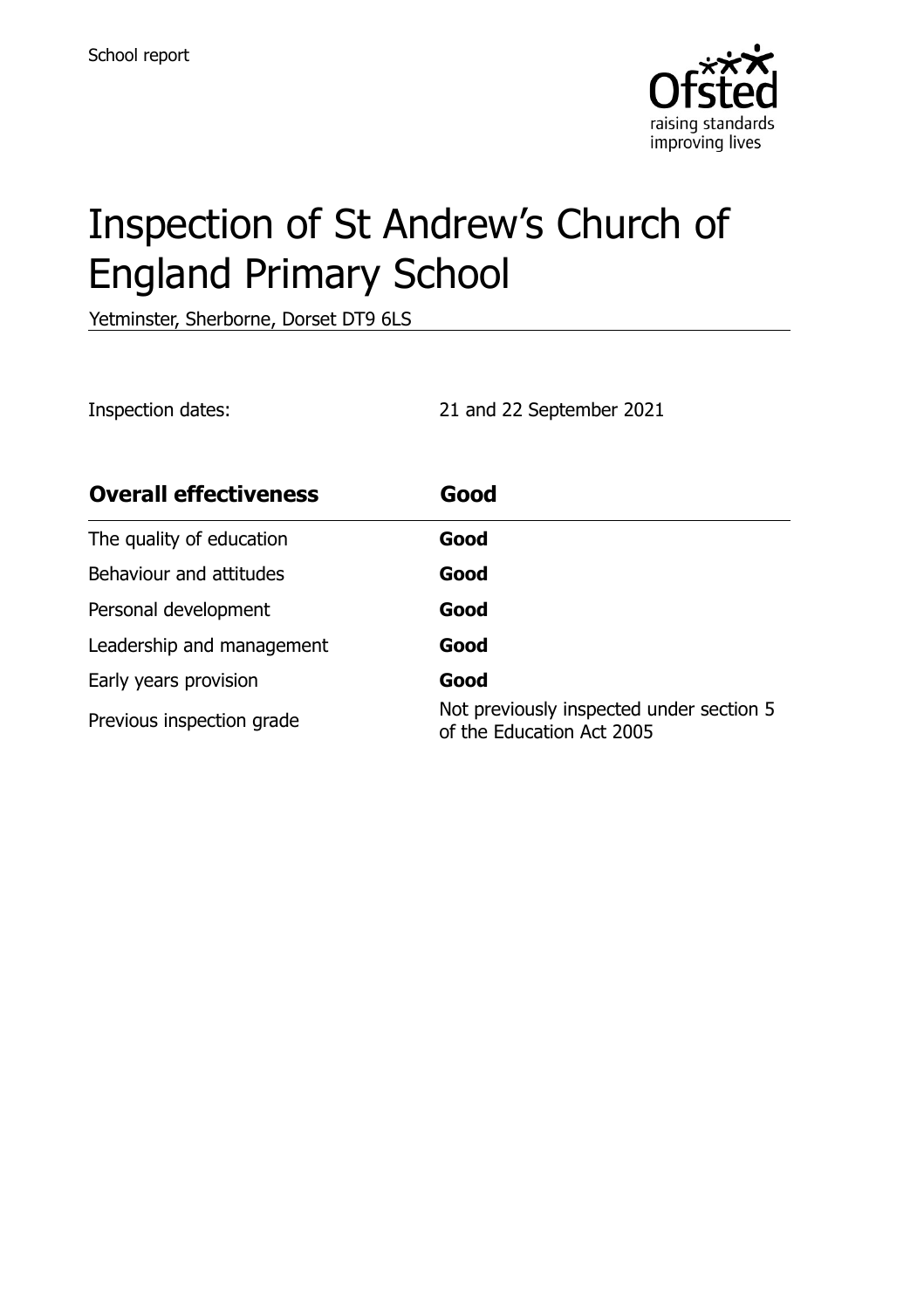

# Inspection of St Andrew's Church of England Primary School

Yetminster, Sherborne, Dorset DT9 6LS

Inspection dates: 21 and 22 September 2021

| <b>Overall effectiveness</b> | Good                                                                  |
|------------------------------|-----------------------------------------------------------------------|
| The quality of education     | Good                                                                  |
| Behaviour and attitudes      | Good                                                                  |
| Personal development         | Good                                                                  |
| Leadership and management    | Good                                                                  |
| Early years provision        | Good                                                                  |
| Previous inspection grade    | Not previously inspected under section 5<br>of the Education Act 2005 |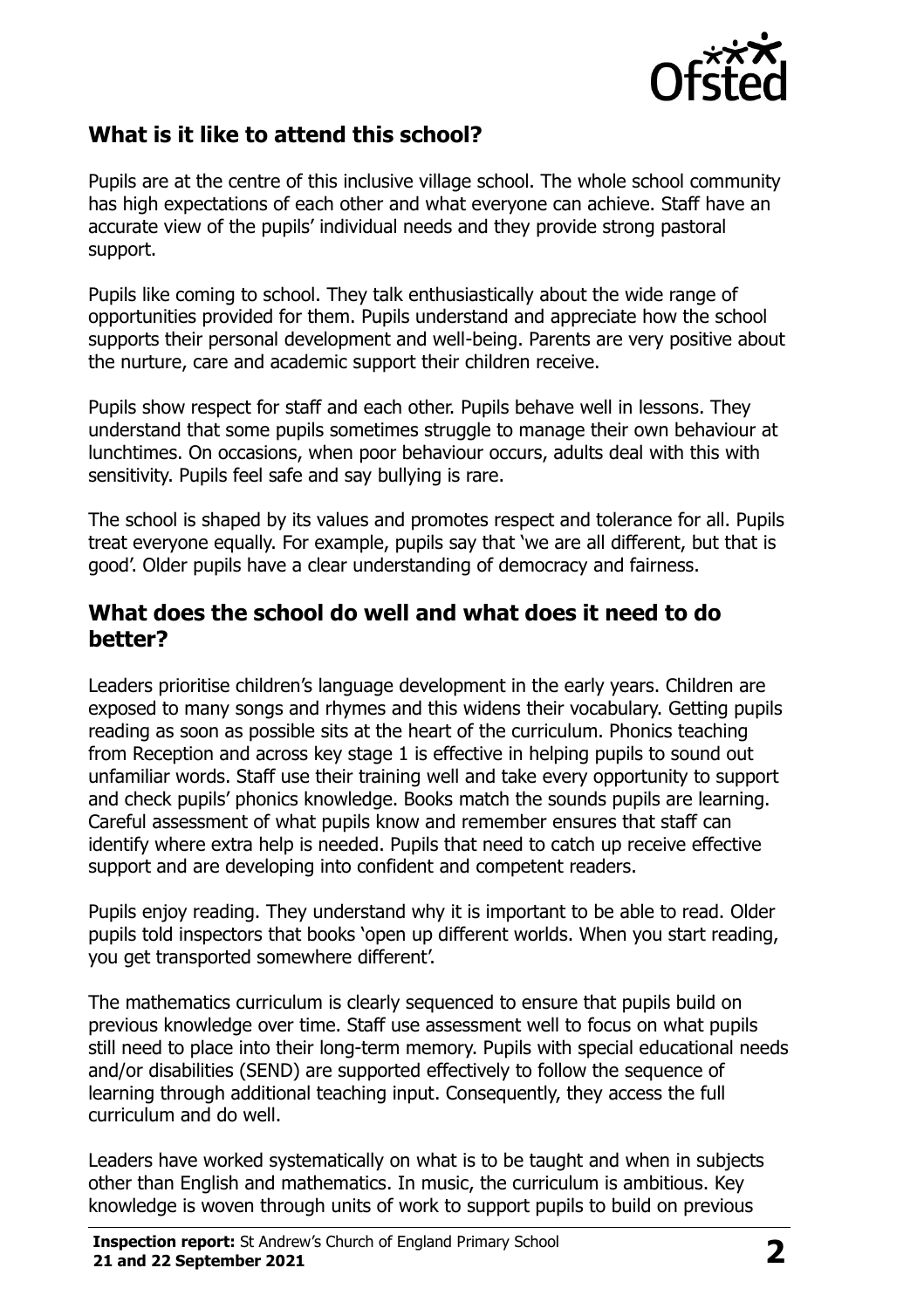

# **What is it like to attend this school?**

Pupils are at the centre of this inclusive village school. The whole school community has high expectations of each other and what everyone can achieve. Staff have an accurate view of the pupils' individual needs and they provide strong pastoral support.

Pupils like coming to school. They talk enthusiastically about the wide range of opportunities provided for them. Pupils understand and appreciate how the school supports their personal development and well-being. Parents are very positive about the nurture, care and academic support their children receive.

Pupils show respect for staff and each other. Pupils behave well in lessons. They understand that some pupils sometimes struggle to manage their own behaviour at lunchtimes. On occasions, when poor behaviour occurs, adults deal with this with sensitivity. Pupils feel safe and say bullying is rare.

The school is shaped by its values and promotes respect and tolerance for all. Pupils treat everyone equally. For example, pupils say that 'we are all different, but that is good'. Older pupils have a clear understanding of democracy and fairness.

#### **What does the school do well and what does it need to do better?**

Leaders prioritise children's language development in the early years. Children are exposed to many songs and rhymes and this widens their vocabulary. Getting pupils reading as soon as possible sits at the heart of the curriculum. Phonics teaching from Reception and across key stage 1 is effective in helping pupils to sound out unfamiliar words. Staff use their training well and take every opportunity to support and check pupils' phonics knowledge. Books match the sounds pupils are learning. Careful assessment of what pupils know and remember ensures that staff can identify where extra help is needed. Pupils that need to catch up receive effective support and are developing into confident and competent readers.

Pupils enjoy reading. They understand why it is important to be able to read. Older pupils told inspectors that books 'open up different worlds. When you start reading, you get transported somewhere different'.

The mathematics curriculum is clearly sequenced to ensure that pupils build on previous knowledge over time. Staff use assessment well to focus on what pupils still need to place into their long-term memory. Pupils with special educational needs and/or disabilities (SEND) are supported effectively to follow the sequence of learning through additional teaching input. Consequently, they access the full curriculum and do well.

Leaders have worked systematically on what is to be taught and when in subjects other than English and mathematics. In music, the curriculum is ambitious. Key knowledge is woven through units of work to support pupils to build on previous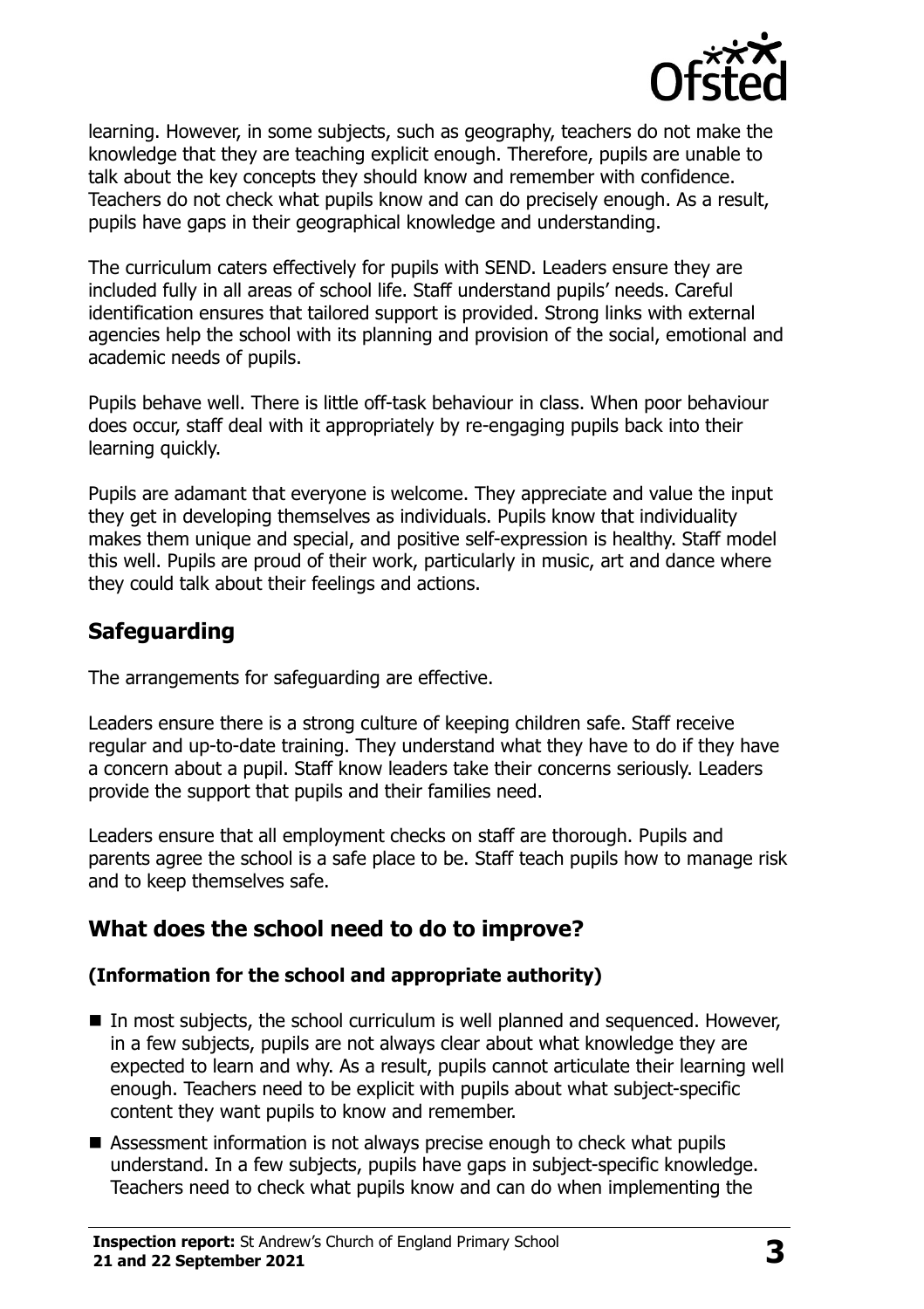

learning. However, in some subjects, such as geography, teachers do not make the knowledge that they are teaching explicit enough. Therefore, pupils are unable to talk about the key concepts they should know and remember with confidence. Teachers do not check what pupils know and can do precisely enough. As a result, pupils have gaps in their geographical knowledge and understanding.

The curriculum caters effectively for pupils with SEND. Leaders ensure they are included fully in all areas of school life. Staff understand pupils' needs. Careful identification ensures that tailored support is provided. Strong links with external agencies help the school with its planning and provision of the social, emotional and academic needs of pupils.

Pupils behave well. There is little off-task behaviour in class. When poor behaviour does occur, staff deal with it appropriately by re-engaging pupils back into their learning quickly.

Pupils are adamant that everyone is welcome. They appreciate and value the input they get in developing themselves as individuals. Pupils know that individuality makes them unique and special, and positive self-expression is healthy. Staff model this well. Pupils are proud of their work, particularly in music, art and dance where they could talk about their feelings and actions.

# **Safeguarding**

The arrangements for safeguarding are effective.

Leaders ensure there is a strong culture of keeping children safe. Staff receive regular and up-to-date training. They understand what they have to do if they have a concern about a pupil. Staff know leaders take their concerns seriously. Leaders provide the support that pupils and their families need.

Leaders ensure that all employment checks on staff are thorough. Pupils and parents agree the school is a safe place to be. Staff teach pupils how to manage risk and to keep themselves safe.

# **What does the school need to do to improve?**

#### **(Information for the school and appropriate authority)**

- $\blacksquare$  In most subjects, the school curriculum is well planned and sequenced. However, in a few subjects, pupils are not always clear about what knowledge they are expected to learn and why. As a result, pupils cannot articulate their learning well enough. Teachers need to be explicit with pupils about what subject-specific content they want pupils to know and remember.
- Assessment information is not always precise enough to check what pupils understand. In a few subjects, pupils have gaps in subject-specific knowledge. Teachers need to check what pupils know and can do when implementing the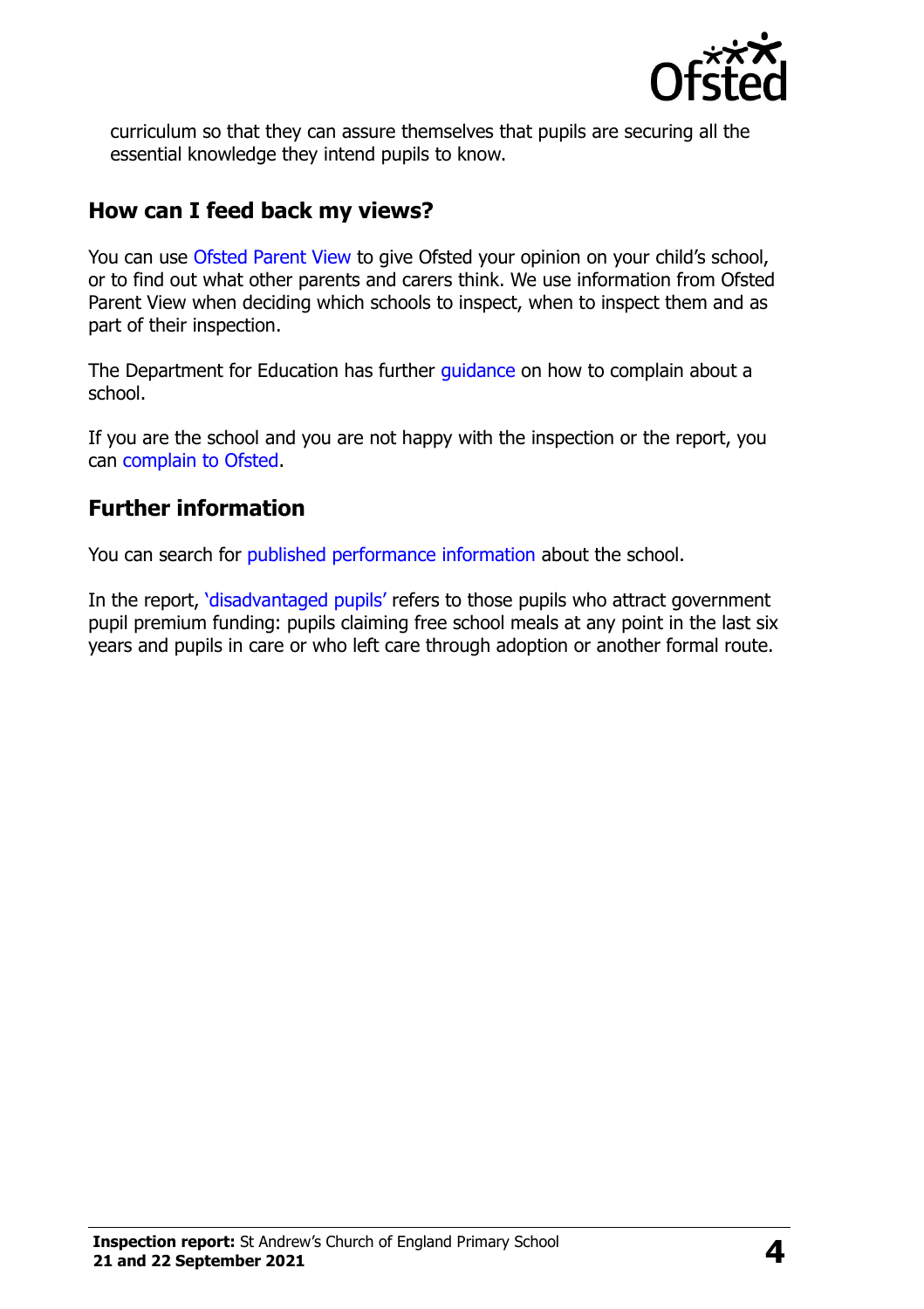

curriculum so that they can assure themselves that pupils are securing all the essential knowledge they intend pupils to know.

### **How can I feed back my views?**

You can use [Ofsted Parent View](http://parentview.ofsted.gov.uk/) to give Ofsted your opinion on your child's school, or to find out what other parents and carers think. We use information from Ofsted Parent View when deciding which schools to inspect, when to inspect them and as part of their inspection.

The Department for Education has further quidance on how to complain about a school.

If you are the school and you are not happy with the inspection or the report, you can [complain to Ofsted.](http://www.gov.uk/complain-ofsted-report)

## **Further information**

You can search for [published performance information](http://www.compare-school-performance.service.gov.uk/) about the school.

In the report, '[disadvantaged pupils](http://www.gov.uk/guidance/pupil-premium-information-for-schools-and-alternative-provision-settings)' refers to those pupils who attract government pupil premium funding: pupils claiming free school meals at any point in the last six years and pupils in care or who left care through adoption or another formal route.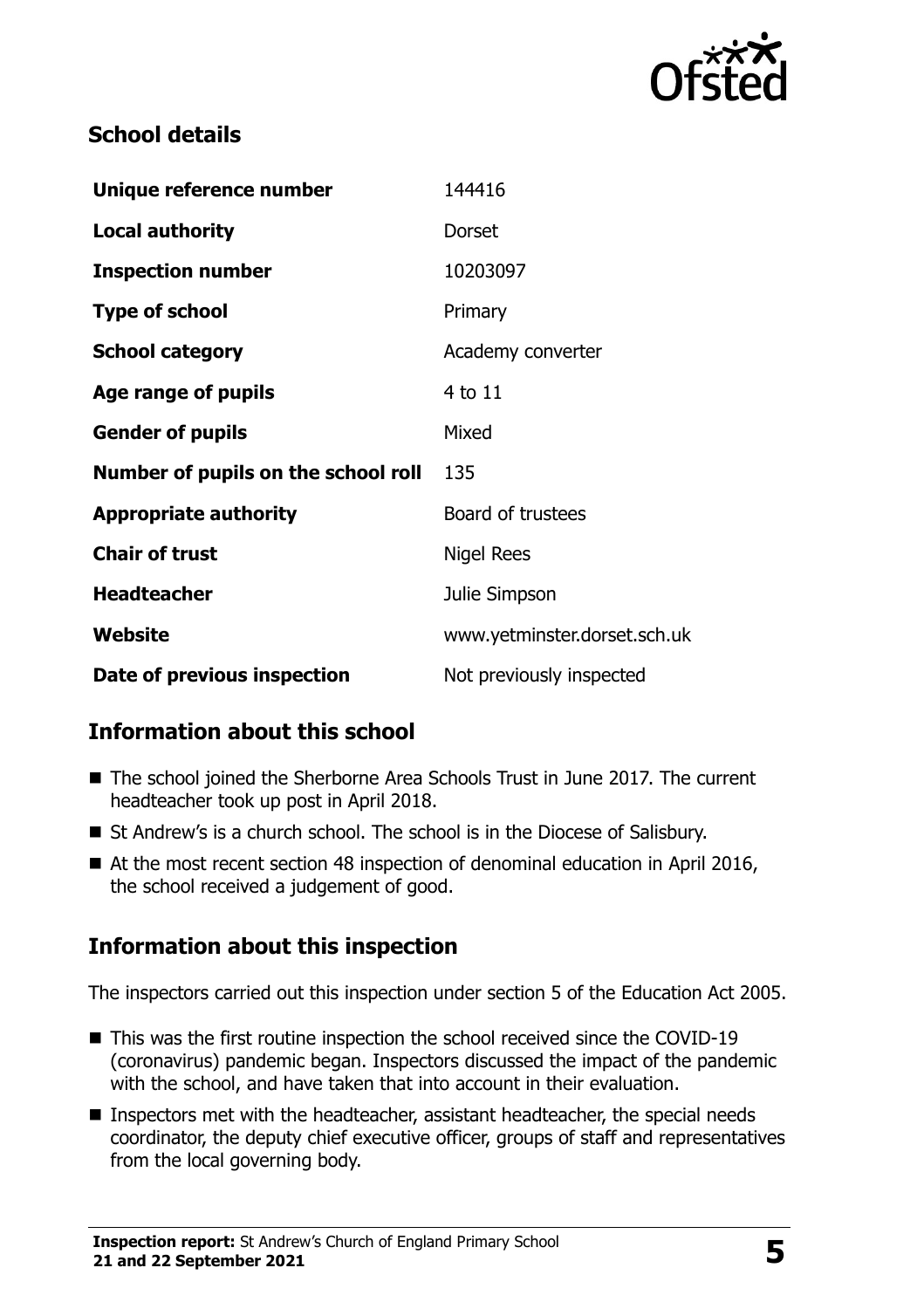

# **School details**

| Unique reference number             | 144416                       |
|-------------------------------------|------------------------------|
| <b>Local authority</b>              | <b>Dorset</b>                |
| <b>Inspection number</b>            | 10203097                     |
| <b>Type of school</b>               | Primary                      |
| <b>School category</b>              | Academy converter            |
| Age range of pupils                 | 4 to 11                      |
| <b>Gender of pupils</b>             | Mixed                        |
| Number of pupils on the school roll | 135                          |
| <b>Appropriate authority</b>        | Board of trustees            |
| <b>Chair of trust</b>               | <b>Nigel Rees</b>            |
| <b>Headteacher</b>                  | Julie Simpson                |
| <b>Website</b>                      | www.yetminster.dorset.sch.uk |
| Date of previous inspection         | Not previously inspected     |

# **Information about this school**

- The school joined the Sherborne Area Schools Trust in June 2017. The current headteacher took up post in April 2018.
- St Andrew's is a church school. The school is in the Diocese of Salisbury.
- At the most recent section 48 inspection of denominal education in April 2016, the school received a judgement of good.

# **Information about this inspection**

The inspectors carried out this inspection under section 5 of the Education Act 2005.

- This was the first routine inspection the school received since the COVID-19 (coronavirus) pandemic began. Inspectors discussed the impact of the pandemic with the school, and have taken that into account in their evaluation.
- Inspectors met with the headteacher, assistant headteacher, the special needs coordinator, the deputy chief executive officer, groups of staff and representatives from the local governing body.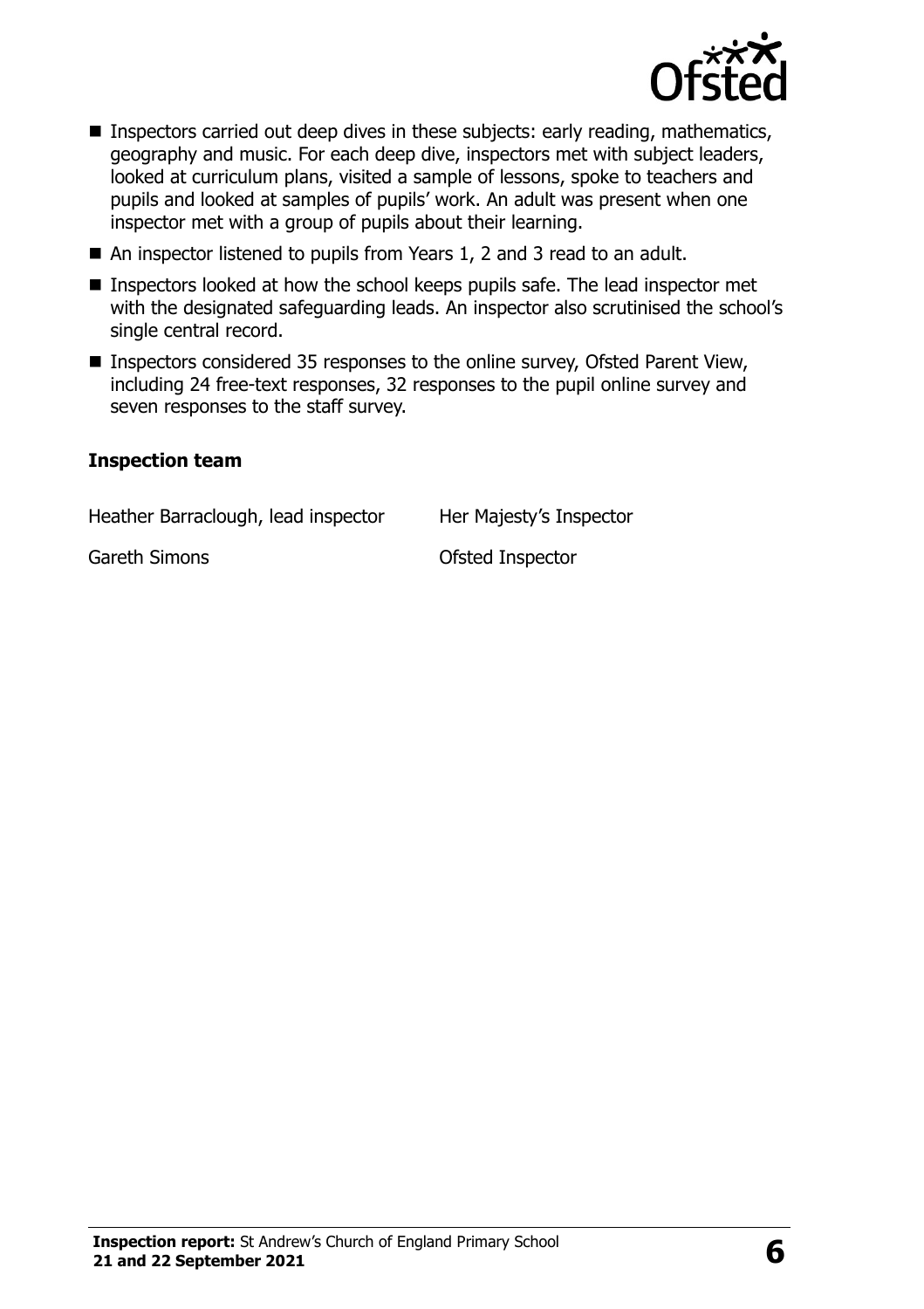

- **Inspectors carried out deep dives in these subjects: early reading, mathematics,** geography and music. For each deep dive, inspectors met with subject leaders, looked at curriculum plans, visited a sample of lessons, spoke to teachers and pupils and looked at samples of pupils' work. An adult was present when one inspector met with a group of pupils about their learning.
- An inspector listened to pupils from Years 1, 2 and 3 read to an adult.
- Inspectors looked at how the school keeps pupils safe. The lead inspector met with the designated safeguarding leads. An inspector also scrutinised the school's single central record.
- Inspectors considered 35 responses to the online survey, Ofsted Parent View, including 24 free-text responses, 32 responses to the pupil online survey and seven responses to the staff survey.

#### **Inspection team**

Heather Barraclough, lead inspector Her Majesty's Inspector

Gareth Simons **Carroll** Construction Construction Construction Construction Construction Construction Construction Construction Construction Construction Construction Construction Construction Construction Construction Con